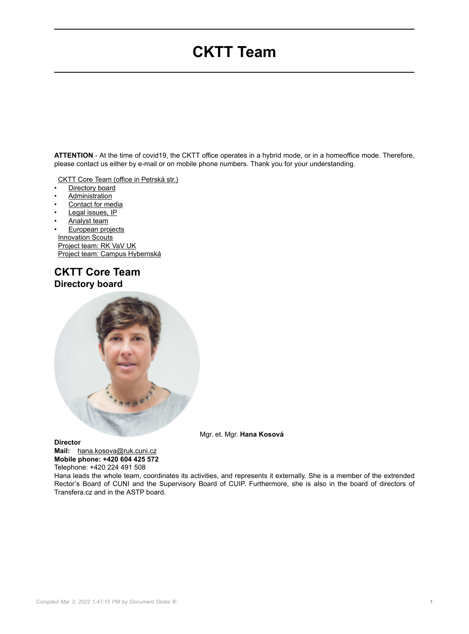# **CKTT Team**

**ATTENTION** - At the time of covid19, the CKTT office operates in a hybrid mode, or in a homeoffice mode. Therefore, please contact us either by e-mail or on mobile phone numbers. Thank you for your understanding.

[CKTT Core Team \(office in Petrská str.\)](https://cppt.cuni.cz/CPPTNEN-74.html)

- Directory board
- **Administration**
- Contact for media
- Legal issues, IP
- Analyst team
- European projects **[Innovation Scouts](https://cppt.cuni.cz/CPPTNEN-113.html)** [Project team: RK VaV UK](https://cppt.cuni.cz/CPPTNEN-111.html) [Project team: Campus Hybernská](https://cppt.cuni.cz/CPPTNEN-112.html)

### **CKTT Core Team Directory board**



Mgr. et. Mgr. **Hana Kosová**

**Director**

**Mail:** [hana.kosova@ruk.cuni.cz](mailto:hana.kosova@ruk.cuni.cz) **Mobile phone: +420 604 425 572**

Telephone: +420 224 491 508

Hana leads the whole team, coordinates its activities, and represents it externally. She is a member of the extrended Rector's Board of CUNI and the Supervisory Board of CUIP. Furthermore, she is also in the board of directors of Transfera.cz and in the ASTP board.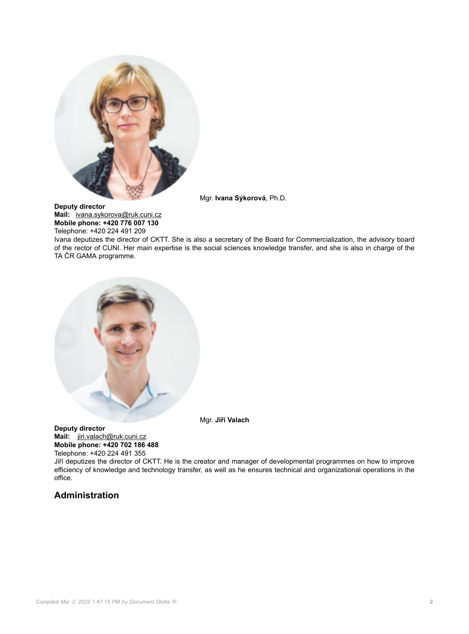

Mgr. **Ivana Sýkorová**, Ph.D.

**Deputy director Mail:** [ivana.sykorova@ruk.cuni.cz](mailto:ivana.sykorova@ruk.cuni.cz) **Mobile phone: +420 776 007 130** Telephone: +420 224 491 209

Ivana deputizes the director of CKTT. She is also a secretary of the Board for Commercialization, the advisory board of the rector of CUNI. Her main expertise is the social sciences knowledge transfer, and she is also in charge of the TA ČR GAMA programme.



Mgr. **Jiří Valach**

**Deputy director Mail:** [jiri.valach@ruk.cuni.cz](mailto:jiri.valach@ruk.cuni.cz) **Mobile phone: +420 702 186 488** Telephone: +420 224 491 355

Jiří deputizes the director of CKTT. He is the creator and manager of developmental programmes on how to improve efficiency of knowledge and technology transfer, as well as he ensures technical and organizational operations in the office.

### **Administration**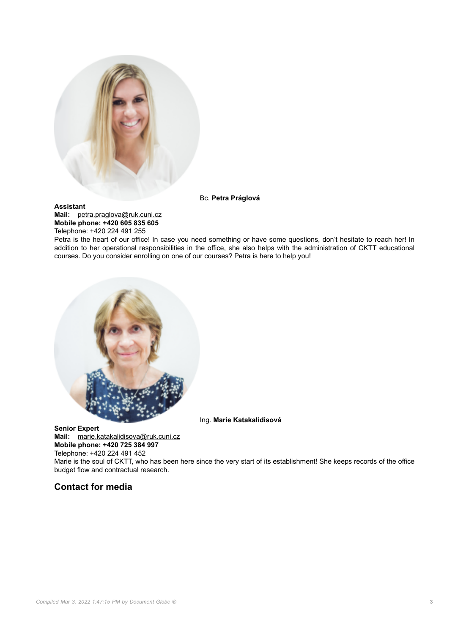

#### **Assistant**

**Mail:** [petra.praglova@ruk.cuni.cz](mailto:petra.praglova@ruk.cuni.cz) **Mobile phone: +420 605 835 605** Telephone: +420 224 491 255

Bc. **Petra Práglová**

Petra is the heart of our office! In case you need something or have some questions, don't hesitate to reach her! In addition to her operational responsibilities in the office, she also helps with the administration of CKTT educational courses. Do you consider enrolling on one of our courses? Petra is here to help you!



Ing. **Marie Katakalidisová**

**Senior Expert Mail:** [marie.katakalidisova@ruk.cuni.cz](mailto:marie.katakalidisova@ruk.cuni.cz) **Mobile phone: +420 725 384 997** Telephone: +420 224 491 452

Marie is the soul of CKTT, who has been here since the very start of its establishment! She keeps records of the office budget flow and contractual research.

#### **Contact for media**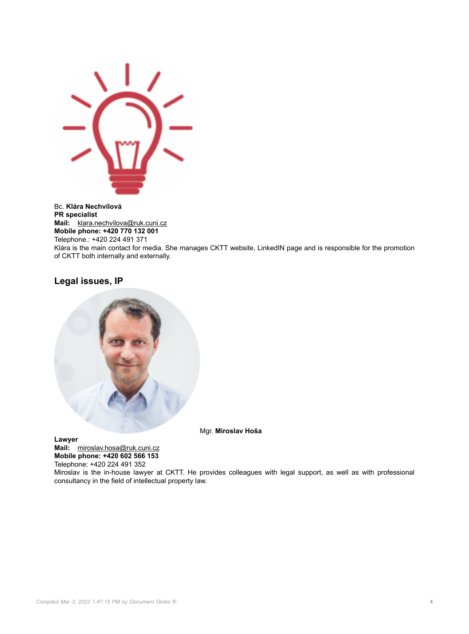

Bc. **Klára Nechvílová PR specialist Mail:** [klara.nechvilova@ruk.cuni.cz](mailto:klara.nechvilova@ruk.cuni.cz) **Mobile phone: +420 770 132 001** Telephone.: +420 224 491 371 Klára is the main contact for media. She manages CKTT website, LinkedIN page and is responsible for the promotion of CKTT both internally and externally.

#### **Legal issues, IP**



Mgr. **Miroslav Hoša**

**Lawyer Mail:** [miroslav.hosa@ruk.cuni.cz](mailto:miroslav.hosa@ruk.cuni.cz) **Mobile phone: +420 602 566 153**

Telephone: +420 224 491 352

Miroslav is the in-house lawyer at CKTT. He provides colleagues with legal support, as well as with professional consultancy in the field of intellectual property law.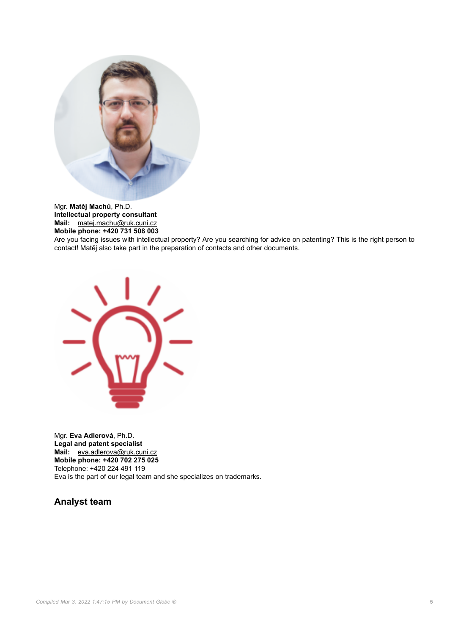

Mgr. **Matěj Machů**, Ph.D. **Intellectual property consultant Mail:** [matej.machu@ruk.cuni.cz](mailto:matej.machu@ruk.cuni.cz) **Mobile phone: +420 731 508 003**

Are you facing issues with intellectual property? Are you searching for advice on patenting? This is the right person to contact! Matěj also take part in the preparation of contacts and other documents.



Mgr. **Eva Adlerová**, Ph.D. **Legal and patent specialist Mail:** [eva.adlerova@ruk.cuni.cz](mailto:eva.adlerova@ruk.cuni.cz) **Mobile phone: +420 702 275 025** Telephone: +420 224 491 119 Eva is the part of our legal team and she specializes on trademarks.

**Analyst team**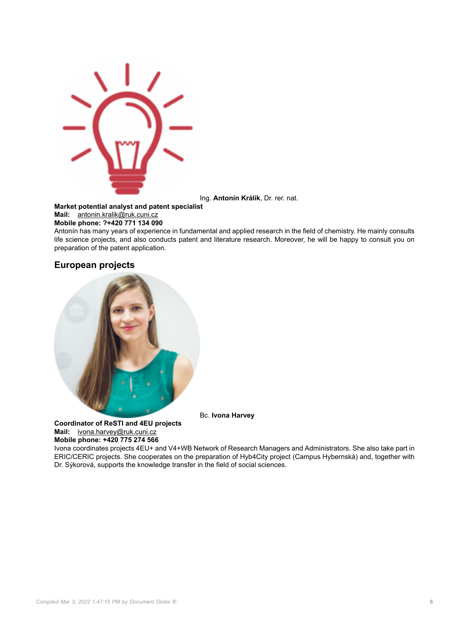

Ing. **Antonín Králík**, Dr. rer. nat.

**Market potential analyst and patent specialist**

**Mail:** [antonin.kralik@ruk.cuni.cz](mailto:antonin.kralik@ruk.cuni.cz)

**Mobile phone: ?+420 771 134 090**

Antonín has many years of experience in fundamental and applied research in the field of chemistry. He mainly consults life science projects, and also conducts patent and literature research. Moreover, he will be happy to consult you on preparation of the patent application.

#### **European projects**



Bc. **Ivona Harvey**

**Coordinator of ReSTI and 4EU projects Mail:** [ivona.harvey@ruk.cuni.cz](mailto:ivona.harvey@ruk.cuni.cz) **Mobile phone: +420 775 274 566**

Ivona coordinates projects 4EU+ and V4+WB Network of Research Managers and Administrators. She also take part in ERIC/CERIC projects. She cooperates on the preparation of Hyb4City project (Campus Hybernská) and, together with Dr. Sýkorová, supports the knowledge transfer in the field of social sciences.